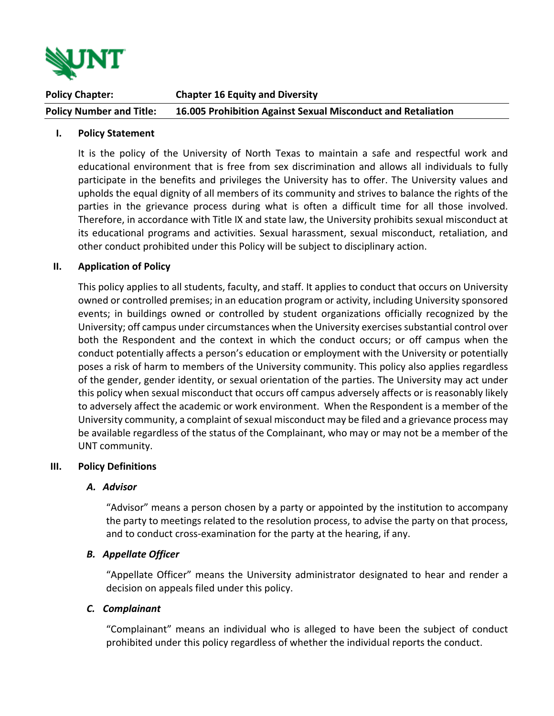

**Policy Chapter: Chapter 16 Equity and Diversity Policy Number and Title: 16.005 Prohibition Against Sexual Misconduct and Retaliation**

#### **I. Policy Statement**

It is the policy of the University of North Texas to maintain a safe and respectful work and educational environment that is free from sex discrimination and allows all individuals to fully participate in the benefits and privileges the University has to offer. The University values and upholds the equal dignity of all members of its community and strives to balance the rights of the parties in the grievance process during what is often a difficult time for all those involved. Therefore, in accordance with Title IX and state law, the University prohibits sexual misconduct at its educational programs and activities. Sexual harassment, sexual misconduct, retaliation, and other conduct prohibited under this Policy will be subject to disciplinary action.

#### **II. Application of Policy**

This policy applies to all students, faculty, and staff. It applies to conduct that occurs on University owned or controlled premises; in an education program or activity, including University sponsored events; in buildings owned or controlled by student organizations officially recognized by the University; off campus under circumstances when the University exercises substantial control over both the Respondent and the context in which the conduct occurs; or off campus when the conduct potentially affects a person's education or employment with the University or potentially poses a risk of harm to members of the University community. This policy also applies regardless of the gender, gender identity, or sexual orientation of the parties. The University may act under this policy when sexual misconduct that occurs off campus adversely affects or is reasonably likely to adversely affect the academic or work environment. When the Respondent is a member of the University community, a complaint of sexual misconduct may be filed and a grievance process may be available regardless of the status of the Complainant, who may or may not be a member of the UNT community.

#### **III. Policy Definitions**

#### *A. Advisor*

"Advisor" means a person chosen by a party or appointed by the institution to accompany the party to meetings related to the resolution process, to advise the party on that process, and to conduct cross-examination for the party at the hearing, if any.

#### *B. Appellate Officer*

"Appellate Officer" means the University administrator designated to hear and render a decision on appeals filed under this policy.

#### *C. Complainant*

"Complainant" means an individual who is alleged to have been the subject of conduct prohibited under this policy regardless of whether the individual reports the conduct.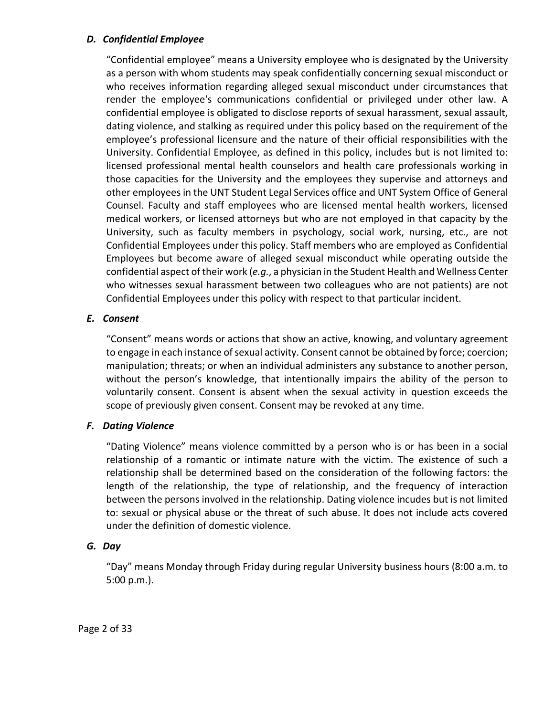## *D. Confidential Employee*

"Confidential employee" means a University employee who is designated by the University as a person with whom students may speak confidentially concerning sexual misconduct or who receives information regarding alleged sexual misconduct under circumstances that render the employee's communications confidential or privileged under other law. A confidential employee is obligated to disclose reports of sexual harassment, sexual assault, dating violence, and stalking as required under this policy based on the requirement of the employee's professional licensure and the nature of their official responsibilities with the University. Confidential Employee, as defined in this policy, includes but is not limited to: licensed professional mental health counselors and health care professionals working in those capacities for the University and the employees they supervise and attorneys and other employees in the UNT Student Legal Services office and UNT System Office of General Counsel. Faculty and staff employees who are licensed mental health workers, licensed medical workers, or licensed attorneys but who are not employed in that capacity by the University, such as faculty members in psychology, social work, nursing, etc., are not Confidential Employees under this policy. Staff members who are employed as Confidential Employees but become aware of alleged sexual misconduct while operating outside the confidential aspect of their work (*e.g.*, a physician in the Student Health and Wellness Center who witnesses sexual harassment between two colleagues who are not patients) are not Confidential Employees under this policy with respect to that particular incident.

## *E. Consent*

"Consent" means words or actions that show an active, knowing, and voluntary agreement to engage in each instance of sexual activity. Consent cannot be obtained by force; coercion; manipulation; threats; or when an individual administers any substance to another person, without the person's knowledge, that intentionally impairs the ability of the person to voluntarily consent. Consent is absent when the sexual activity in question exceeds the scope of previously given consent. Consent may be revoked at any time.

# *F. Dating Violence*

"Dating Violence" means violence committed by a person who is or has been in a social relationship of a romantic or intimate nature with the victim. The existence of such a relationship shall be determined based on the consideration of the following factors: the length of the relationship, the type of relationship, and the frequency of interaction between the persons involved in the relationship. Dating violence incudes but is not limited to: sexual or physical abuse or the threat of such abuse. It does not include acts covered under the definition of domestic violence.

### *G. Day*

"Day" means Monday through Friday during regular University business hours (8:00 a.m. to 5:00 p.m.).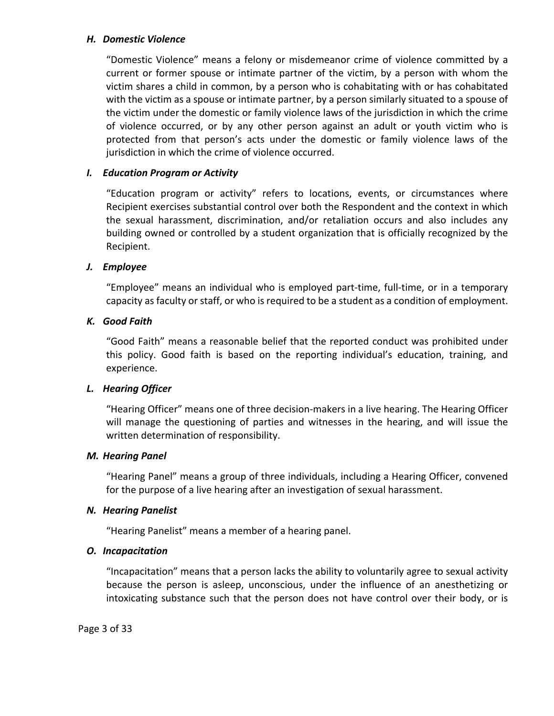### *H. Domestic Violence*

"Domestic Violence" means a felony or misdemeanor crime of violence committed by a current or former spouse or intimate partner of the victim, by a person with whom the victim shares a child in common, by a person who is cohabitating with or has cohabitated with the victim as a spouse or intimate partner, by a person similarly situated to a spouse of the victim under the domestic or family violence laws of the jurisdiction in which the crime of violence occurred, or by any other person against an adult or youth victim who is protected from that person's acts under the domestic or family violence laws of the jurisdiction in which the crime of violence occurred.

## *I. Education Program or Activity*

"Education program or activity" refers to locations, events, or circumstances where Recipient exercises substantial control over both the Respondent and the context in which the sexual harassment, discrimination, and/or retaliation occurs and also includes any building owned or controlled by a student organization that is officially recognized by the Recipient.

## *J. Employee*

"Employee" means an individual who is employed part-time, full-time, or in a temporary capacity as faculty or staff, or who is required to be a student as a condition of employment.

## *K. Good Faith*

"Good Faith" means a reasonable belief that the reported conduct was prohibited under this policy. Good faith is based on the reporting individual's education, training, and experience.

### *L. Hearing Officer*

"Hearing Officer" means one of three decision-makers in a live hearing. The Hearing Officer will manage the questioning of parties and witnesses in the hearing, and will issue the written determination of responsibility.

### *M. Hearing Panel*

"Hearing Panel" means a group of three individuals, including a Hearing Officer, convened for the purpose of a live hearing after an investigation of sexual harassment.

### *N. Hearing Panelist*

"Hearing Panelist" means a member of a hearing panel.

### *O. Incapacitation*

"Incapacitation" means that a person lacks the ability to voluntarily agree to sexual activity because the person is asleep, unconscious, under the influence of an anesthetizing or intoxicating substance such that the person does not have control over their body, or is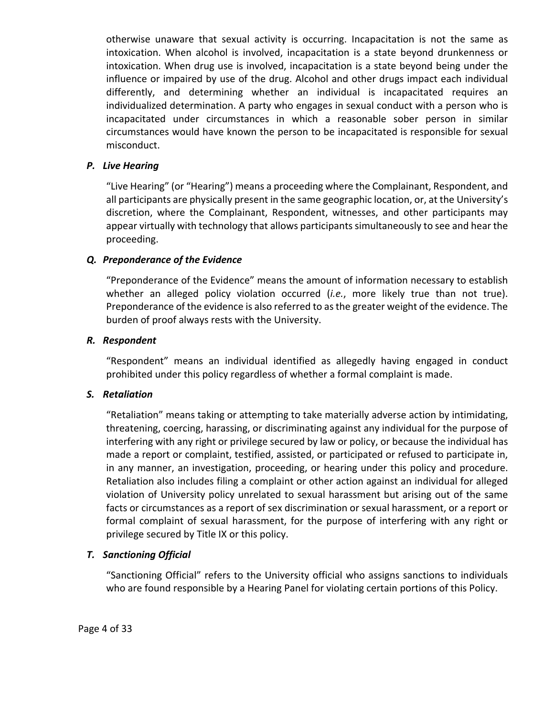otherwise unaware that sexual activity is occurring. Incapacitation is not the same as intoxication. When alcohol is involved, incapacitation is a state beyond drunkenness or intoxication. When drug use is involved, incapacitation is a state beyond being under the influence or impaired by use of the drug. Alcohol and other drugs impact each individual differently, and determining whether an individual is incapacitated requires an individualized determination. A party who engages in sexual conduct with a person who is incapacitated under circumstances in which a reasonable sober person in similar circumstances would have known the person to be incapacitated is responsible for sexual misconduct.

## *P. Live Hearing*

"Live Hearing" (or "Hearing") means a proceeding where the Complainant, Respondent, and all participants are physically present in the same geographic location, or, at the University's discretion, where the Complainant, Respondent, witnesses, and other participants may appear virtually with technology that allows participants simultaneously to see and hear the proceeding.

# *Q. Preponderance of the Evidence*

"Preponderance of the Evidence" means the amount of information necessary to establish whether an alleged policy violation occurred (*i.e.*, more likely true than not true). Preponderance of the evidence is also referred to as the greater weight of the evidence. The burden of proof always rests with the University.

### *R. Respondent*

"Respondent" means an individual identified as allegedly having engaged in conduct prohibited under this policy regardless of whether a formal complaint is made.

# *S. Retaliation*

"Retaliation" means taking or attempting to take materially adverse action by intimidating, threatening, coercing, harassing, or discriminating against any individual for the purpose of interfering with any right or privilege secured by law or policy, or because the individual has made a report or complaint, testified, assisted, or participated or refused to participate in, in any manner, an investigation, proceeding, or hearing under this policy and procedure. Retaliation also includes filing a complaint or other action against an individual for alleged violation of University policy unrelated to sexual harassment but arising out of the same facts or circumstances as a report of sex discrimination or sexual harassment, or a report or formal complaint of sexual harassment, for the purpose of interfering with any right or privilege secured by Title IX or this policy.

# *T. Sanctioning Official*

"Sanctioning Official" refers to the University official who assigns sanctions to individuals who are found responsible by a Hearing Panel for violating certain portions of this Policy.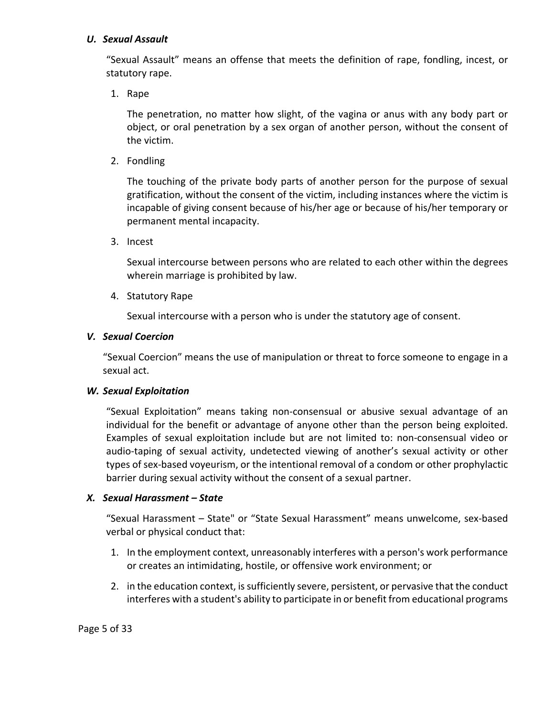### *U. Sexual Assault*

"Sexual Assault" means an offense that meets the definition of rape, fondling, incest, or statutory rape.

1. Rape

The penetration, no matter how slight, of the vagina or anus with any body part or object, or oral penetration by a sex organ of another person, without the consent of the victim.

2. Fondling

The touching of the private body parts of another person for the purpose of sexual gratification, without the consent of the victim, including instances where the victim is incapable of giving consent because of his/her age or because of his/her temporary or permanent mental incapacity.

3. Incest

Sexual intercourse between persons who are related to each other within the degrees wherein marriage is prohibited by law.

4. Statutory Rape

Sexual intercourse with a person who is under the statutory age of consent.

# *V. Sexual Coercion*

"Sexual Coercion" means the use of manipulation or threat to force someone to engage in a sexual act.

# *W. Sexual Exploitation*

"Sexual Exploitation" means taking non-consensual or abusive sexual advantage of an individual for the benefit or advantage of anyone other than the person being exploited. Examples of sexual exploitation include but are not limited to: non-consensual video or audio-taping of sexual activity, undetected viewing of another's sexual activity or other types of sex-based voyeurism, or the intentional removal of a condom or other prophylactic barrier during sexual activity without the consent of a sexual partner.

# *X. Sexual Harassment – State*

"Sexual Harassment – State" or "State Sexual Harassment" means unwelcome, sex-based verbal or physical conduct that:

- 1. In the employment context, unreasonably interferes with a person's work performance or creates an intimidating, hostile, or offensive work environment; or
- 2. in the education context, is sufficiently severe, persistent, or pervasive that the conduct interferes with a student's ability to participate in or benefit from educational programs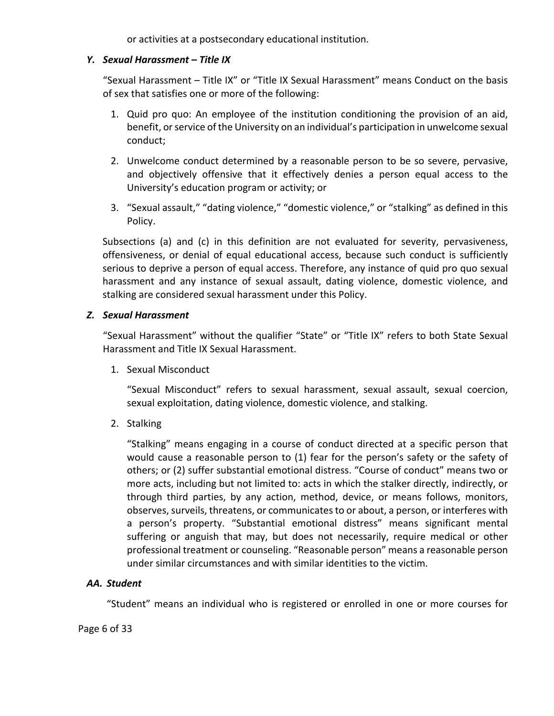or activities at a postsecondary educational institution.

## *Y. Sexual Harassment – Title IX*

"Sexual Harassment – Title IX" or "Title IX Sexual Harassment" means Conduct on the basis of sex that satisfies one or more of the following:

- 1. Quid pro quo: An employee of the institution conditioning the provision of an aid, benefit, or service of the University on an individual's participation in unwelcome sexual conduct;
- 2. Unwelcome conduct determined by a reasonable person to be so severe, pervasive, and objectively offensive that it effectively denies a person equal access to the University's education program or activity; or
- 3. "Sexual assault," "dating violence," "domestic violence," or "stalking" as defined in this Policy.

Subsections (a) and (c) in this definition are not evaluated for severity, pervasiveness, offensiveness, or denial of equal educational access, because such conduct is sufficiently serious to deprive a person of equal access. Therefore, any instance of quid pro quo sexual harassment and any instance of sexual assault, dating violence, domestic violence, and stalking are considered sexual harassment under this Policy.

## *Z. Sexual Harassment*

"Sexual Harassment" without the qualifier "State" or "Title IX" refers to both State Sexual Harassment and Title IX Sexual Harassment.

1. Sexual Misconduct

"Sexual Misconduct" refers to sexual harassment, sexual assault, sexual coercion, sexual exploitation, dating violence, domestic violence, and stalking.

2. Stalking

"Stalking" means engaging in a course of conduct directed at a specific person that would cause a reasonable person to (1) fear for the person's safety or the safety of others; or (2) suffer substantial emotional distress. "Course of conduct" means two or more acts, including but not limited to: acts in which the stalker directly, indirectly, or through third parties, by any action, method, device, or means follows, monitors, observes, surveils, threatens, or communicates to or about, a person, or interferes with a person's property. "Substantial emotional distress" means significant mental suffering or anguish that may, but does not necessarily, require medical or other professional treatment or counseling. "Reasonable person" means a reasonable person under similar circumstances and with similar identities to the victim.

# *AA. Student*

"Student" means an individual who is registered or enrolled in one or more courses for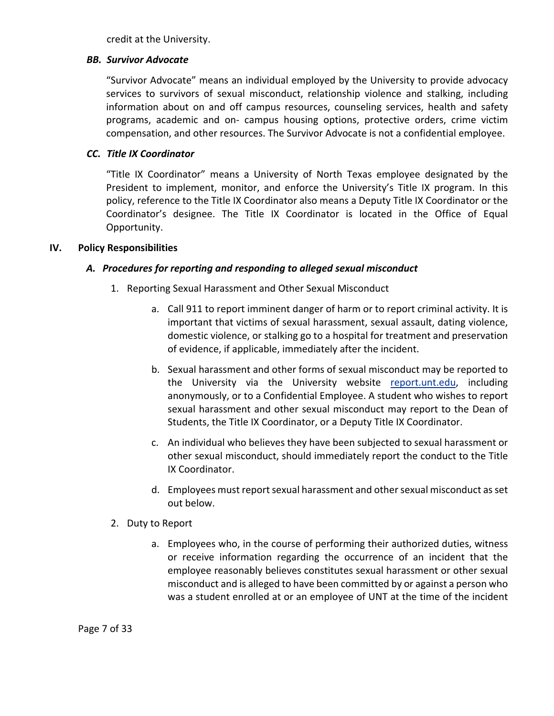credit at the University.

### *BB. Survivor Advocate*

"Survivor Advocate" means an individual employed by the University to provide advocacy services to survivors of sexual misconduct, relationship violence and stalking, including information about on and off campus resources, counseling services, health and safety programs, academic and on- campus housing options, protective orders, crime victim compensation, and other resources. The Survivor Advocate is not a confidential employee.

# *CC. Title IX Coordinator*

"Title IX Coordinator" means a University of North Texas employee designated by the President to implement, monitor, and enforce the University's Title IX program. In this policy, reference to the Title IX Coordinator also means a Deputy Title IX Coordinator or the Coordinator's designee. The Title IX Coordinator is located in the Office of Equal Opportunity.

## **IV. Policy Responsibilities**

# *A. Procedures for reporting and responding to alleged sexual misconduct*

- 1. Reporting Sexual Harassment and Other Sexual Misconduct
	- a. Call 911 to report imminent danger of harm or to report criminal activity. It is important that victims of sexual harassment, sexual assault, dating violence, domestic violence, or stalking go to a hospital for treatment and preservation of evidence, if applicable, immediately after the incident.
	- b. Sexual harassment and other forms of sexual misconduct may be reported to the University via the University website [report.unt.edu,](https://studentaffairs.unt.edu/dean-of-students/report) including anonymously, or to a Confidential Employee. A student who wishes to report sexual harassment and other sexual misconduct may report to the Dean of Students, the Title IX Coordinator, or a Deputy Title IX Coordinator.
	- c. An individual who believes they have been subjected to sexual harassment or other sexual misconduct, should immediately report the conduct to the Title IX Coordinator.
	- d. Employees must report sexual harassment and other sexual misconduct as set out below.
- 2. Duty to Report
	- a. Employees who, in the course of performing their authorized duties, witness or receive information regarding the occurrence of an incident that the employee reasonably believes constitutes sexual harassment or other sexual misconduct and is alleged to have been committed by or against a person who was a student enrolled at or an employee of UNT at the time of the incident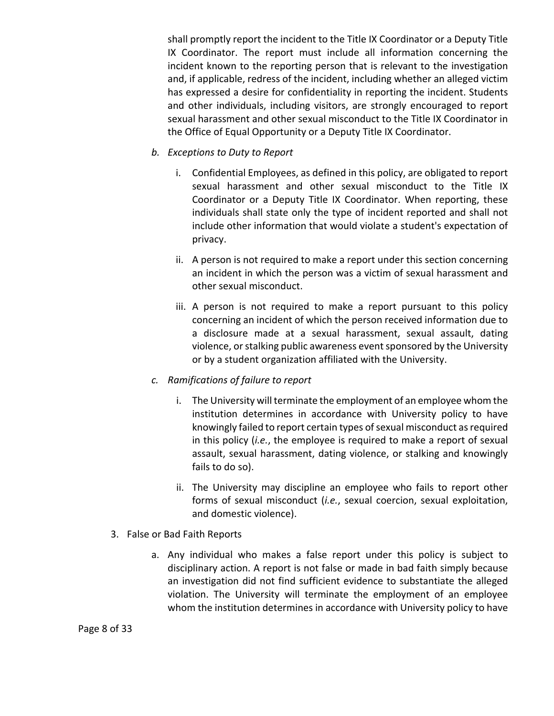shall promptly report the incident to the Title IX Coordinator or a Deputy Title IX Coordinator. The report must include all information concerning the incident known to the reporting person that is relevant to the investigation and, if applicable, redress of the incident, including whether an alleged victim has expressed a desire for confidentiality in reporting the incident. Students and other individuals, including visitors, are strongly encouraged to report sexual harassment and other sexual misconduct to the Title IX Coordinator in the Office of Equal Opportunity or a Deputy Title IX Coordinator.

- *b. Exceptions to Duty to Report*
	- i. Confidential Employees, as defined in this policy, are obligated to report sexual harassment and other sexual misconduct to the Title IX Coordinator or a Deputy Title IX Coordinator. When reporting, these individuals shall state only the type of incident reported and shall not include other information that would violate a student's expectation of privacy.
	- ii. A person is not required to make a report under this section concerning an incident in which the person was a victim of sexual harassment and other sexual misconduct.
	- iii. A person is not required to make a report pursuant to this policy concerning an incident of which the person received information due to a disclosure made at a sexual harassment, sexual assault, dating violence, or stalking public awareness event sponsored by the University or by a student organization affiliated with the University.
- *c. Ramifications of failure to report*
	- i. The University will terminate the employment of an employee whom the institution determines in accordance with University policy to have knowingly failed to report certain types of sexual misconduct as required in this policy (*i.e.*, the employee is required to make a report of sexual assault, sexual harassment, dating violence, or stalking and knowingly fails to do so).
	- ii. The University may discipline an employee who fails to report other forms of sexual misconduct (*i.e.*, sexual coercion, sexual exploitation, and domestic violence).
- 3. False or Bad Faith Reports
	- a. Any individual who makes a false report under this policy is subject to disciplinary action. A report is not false or made in bad faith simply because an investigation did not find sufficient evidence to substantiate the alleged violation. The University will terminate the employment of an employee whom the institution determines in accordance with University policy to have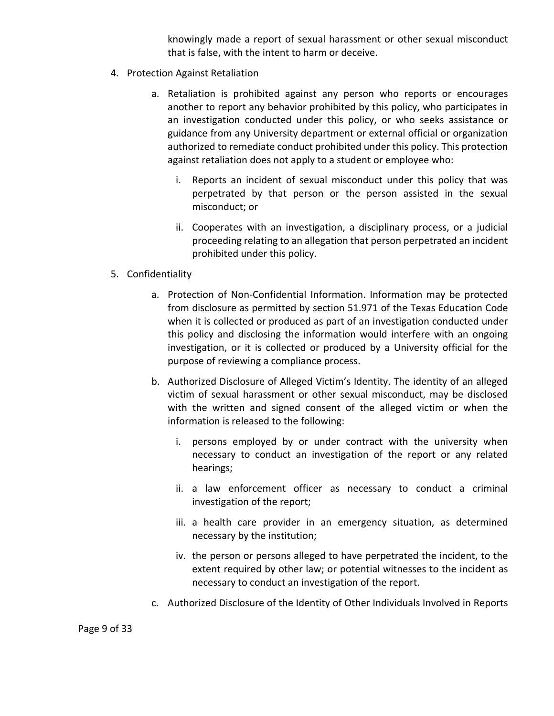knowingly made a report of sexual harassment or other sexual misconduct that is false, with the intent to harm or deceive.

- 4. Protection Against Retaliation
	- a. Retaliation is prohibited against any person who reports or encourages another to report any behavior prohibited by this policy, who participates in an investigation conducted under this policy, or who seeks assistance or guidance from any University department or external official or organization authorized to remediate conduct prohibited under this policy. This protection against retaliation does not apply to a student or employee who:
		- i. Reports an incident of sexual misconduct under this policy that was perpetrated by that person or the person assisted in the sexual misconduct; or
		- ii. Cooperates with an investigation, a disciplinary process, or a judicial proceeding relating to an allegation that person perpetrated an incident prohibited under this policy.
- 5. Confidentiality
	- a. Protection of Non-Confidential Information. Information may be protected from disclosure as permitted by section 51.971 of the Texas Education Code when it is collected or produced as part of an investigation conducted under this policy and disclosing the information would interfere with an ongoing investigation, or it is collected or produced by a University official for the purpose of reviewing a compliance process.
	- b. Authorized Disclosure of Alleged Victim's Identity. The identity of an alleged victim of sexual harassment or other sexual misconduct, may be disclosed with the written and signed consent of the alleged victim or when the information is released to the following:
		- i. persons employed by or under contract with the university when necessary to conduct an investigation of the report or any related hearings;
		- ii. a law enforcement officer as necessary to conduct a criminal investigation of the report;
		- iii. a health care provider in an emergency situation, as determined necessary by the institution;
		- iv. the person or persons alleged to have perpetrated the incident, to the extent required by other law; or potential witnesses to the incident as necessary to conduct an investigation of the report.
	- c. Authorized Disclosure of the Identity of Other Individuals Involved in Reports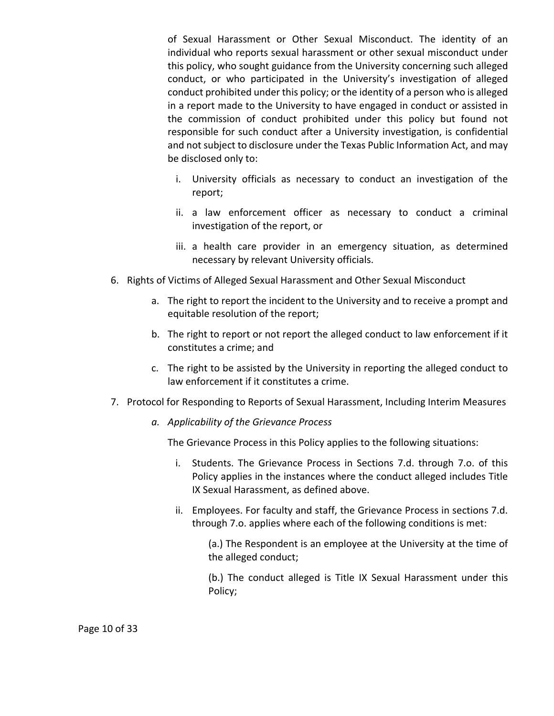of Sexual Harassment or Other Sexual Misconduct. The identity of an individual who reports sexual harassment or other sexual misconduct under this policy, who sought guidance from the University concerning such alleged conduct, or who participated in the University's investigation of alleged conduct prohibited under this policy; or the identity of a person who is alleged in a report made to the University to have engaged in conduct or assisted in the commission of conduct prohibited under this policy but found not responsible for such conduct after a University investigation, is confidential and not subject to disclosure under the Texas Public Information Act, and may be disclosed only to:

- i. University officials as necessary to conduct an investigation of the report;
- ii. a law enforcement officer as necessary to conduct a criminal investigation of the report, or
- iii. a health care provider in an emergency situation, as determined necessary by relevant University officials.
- 6. Rights of Victims of Alleged Sexual Harassment and Other Sexual Misconduct
	- a. The right to report the incident to the University and to receive a prompt and equitable resolution of the report;
	- b. The right to report or not report the alleged conduct to law enforcement if it constitutes a crime; and
	- c. The right to be assisted by the University in reporting the alleged conduct to law enforcement if it constitutes a crime.
- 7. Protocol for Responding to Reports of Sexual Harassment, Including Interim Measures
	- *a. Applicability of the Grievance Process*

The Grievance Process in this Policy applies to the following situations:

- i. Students. The Grievance Process in Sections 7.d. through 7.o. of this Policy applies in the instances where the conduct alleged includes Title IX Sexual Harassment, as defined above.
- ii. Employees. For faculty and staff, the Grievance Process in sections 7.d. through 7.o. applies where each of the following conditions is met:

(a.) The Respondent is an employee at the University at the time of the alleged conduct;

(b.) The conduct alleged is Title IX Sexual Harassment under this Policy;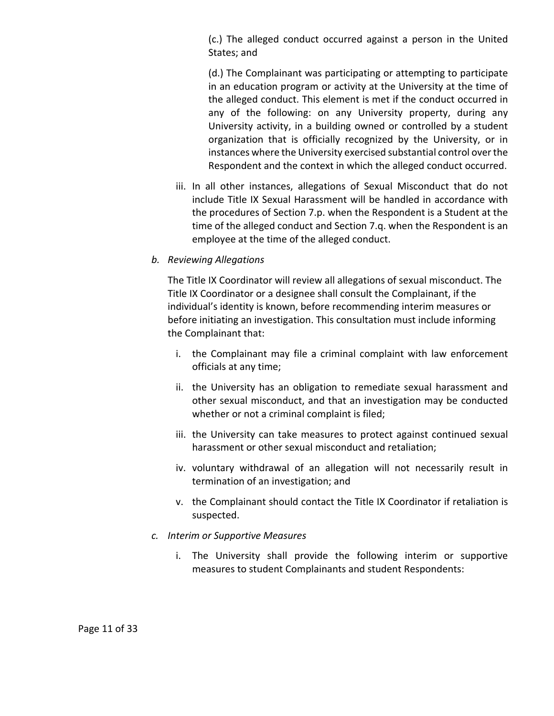(c.) The alleged conduct occurred against a person in the United States; and

(d.) The Complainant was participating or attempting to participate in an education program or activity at the University at the time of the alleged conduct. This element is met if the conduct occurred in any of the following: on any University property, during any University activity, in a building owned or controlled by a student organization that is officially recognized by the University, or in instances where the University exercised substantial control over the Respondent and the context in which the alleged conduct occurred.

iii. In all other instances, allegations of Sexual Misconduct that do not include Title IX Sexual Harassment will be handled in accordance with the procedures of Section 7.p. when the Respondent is a Student at the time of the alleged conduct and Section 7.q. when the Respondent is an employee at the time of the alleged conduct.

### *b. Reviewing Allegations*

The Title IX Coordinator will review all allegations of sexual misconduct. The Title IX Coordinator or a designee shall consult the Complainant, if the individual's identity is known, before recommending interim measures or before initiating an investigation. This consultation must include informing the Complainant that:

- i. the Complainant may file a criminal complaint with law enforcement officials at any time;
- ii. the University has an obligation to remediate sexual harassment and other sexual misconduct, and that an investigation may be conducted whether or not a criminal complaint is filed;
- iii. the University can take measures to protect against continued sexual harassment or other sexual misconduct and retaliation;
- iv. voluntary withdrawal of an allegation will not necessarily result in termination of an investigation; and
- v. the Complainant should contact the Title IX Coordinator if retaliation is suspected.
- *c. Interim or Supportive Measures*
	- i. The University shall provide the following interim or supportive measures to student Complainants and student Respondents: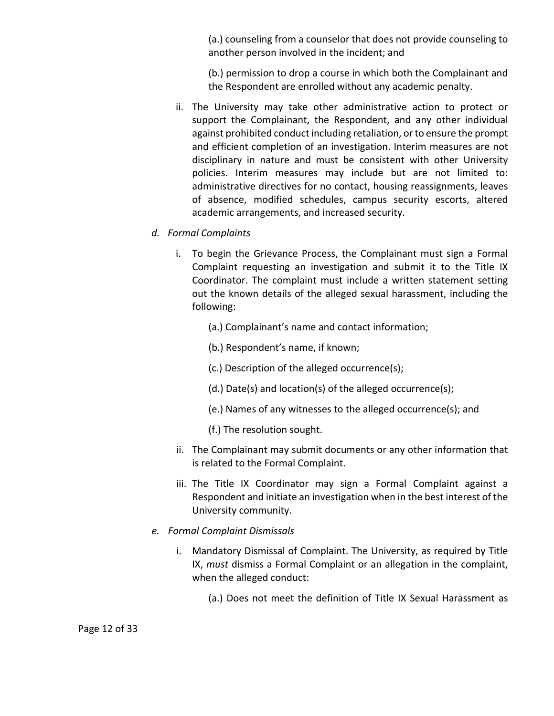(a.) counseling from a counselor that does not provide counseling to another person involved in the incident; and

(b.) permission to drop a course in which both the Complainant and the Respondent are enrolled without any academic penalty.

- ii. The University may take other administrative action to protect or support the Complainant, the Respondent, and any other individual against prohibited conduct including retaliation, or to ensure the prompt and efficient completion of an investigation. Interim measures are not disciplinary in nature and must be consistent with other University policies. Interim measures may include but are not limited to: administrative directives for no contact, housing reassignments, leaves of absence, modified schedules, campus security escorts, altered academic arrangements, and increased security.
- *d. Formal Complaints*
	- i. To begin the Grievance Process, the Complainant must sign a Formal Complaint requesting an investigation and submit it to the Title IX Coordinator. The complaint must include a written statement setting out the known details of the alleged sexual harassment, including the following:
		- (a.) Complainant's name and contact information;
		- (b.) Respondent's name, if known;
		- (c.) Description of the alleged occurrence(s);
		- (d.) Date(s) and location(s) of the alleged occurrence(s);
		- (e.) Names of any witnesses to the alleged occurrence(s); and
		- (f.) The resolution sought.
	- ii. The Complainant may submit documents or any other information that is related to the Formal Complaint.
	- iii. The Title IX Coordinator may sign a Formal Complaint against a Respondent and initiate an investigation when in the best interest of the University community.
- *e. Formal Complaint Dismissals*
	- i. Mandatory Dismissal of Complaint. The University, as required by Title IX, *must* dismiss a Formal Complaint or an allegation in the complaint, when the alleged conduct:
		- (a.) Does not meet the definition of Title IX Sexual Harassment as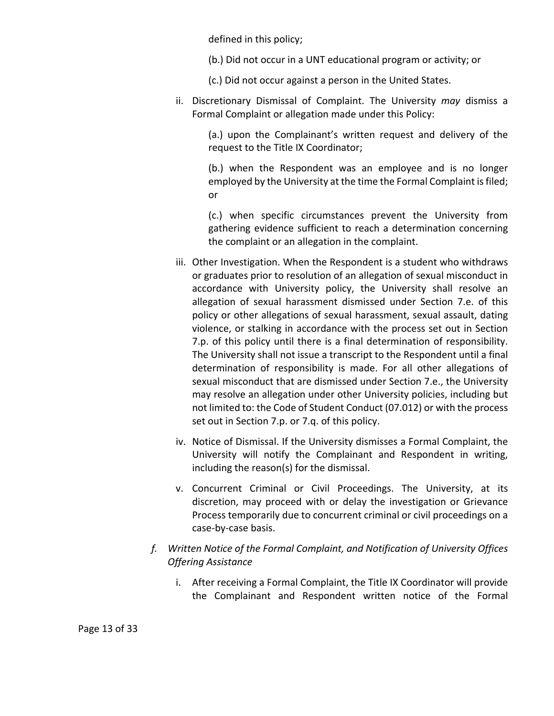defined in this policy;

- (b.) Did not occur in a UNT educational program or activity; or
- (c.) Did not occur against a person in the United States.
- ii. Discretionary Dismissal of Complaint. The University *may* dismiss a Formal Complaint or allegation made under this Policy:

(a.) upon the Complainant's written request and delivery of the request to the Title IX Coordinator;

(b.) when the Respondent was an employee and is no longer employed by the University at the time the Formal Complaint is filed; or

(c.) when specific circumstances prevent the University from gathering evidence sufficient to reach a determination concerning the complaint or an allegation in the complaint.

- iii. Other Investigation. When the Respondent is a student who withdraws or graduates prior to resolution of an allegation of sexual misconduct in accordance with University policy, the University shall resolve an allegation of sexual harassment dismissed under Section 7.e. of this policy or other allegations of sexual harassment, sexual assault, dating violence, or stalking in accordance with the process set out in Section 7.p. of this policy until there is a final determination of responsibility. The University shall not issue a transcript to the Respondent until a final determination of responsibility is made. For all other allegations of sexual misconduct that are dismissed under Section 7.e., the University may resolve an allegation under other University policies, including but not limited to: the Code of Student Conduct (07.012) or with the process set out in Section 7.p. or 7.q. of this policy.
- iv. Notice of Dismissal. If the University dismisses a Formal Complaint, the University will notify the Complainant and Respondent in writing, including the reason(s) for the dismissal.
- v. Concurrent Criminal or Civil Proceedings. The University, at its discretion, may proceed with or delay the investigation or Grievance Process temporarily due to concurrent criminal or civil proceedings on a case-by-case basis.
- *f. Written Notice of the Formal Complaint, and Notification of University Offices Offering Assistance*
	- i. After receiving a Formal Complaint, the Title IX Coordinator will provide the Complainant and Respondent written notice of the Formal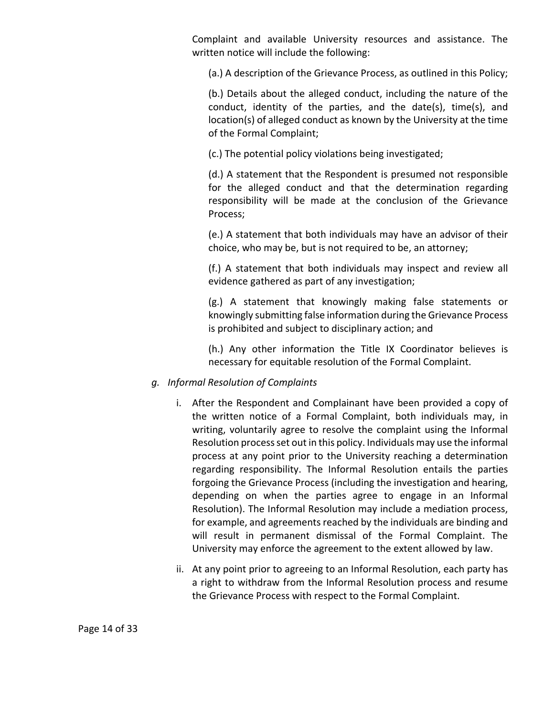Complaint and available University resources and assistance. The written notice will include the following:

(a.) A description of the Grievance Process, as outlined in this Policy;

(b.) Details about the alleged conduct, including the nature of the conduct, identity of the parties, and the date(s), time(s), and location(s) of alleged conduct as known by the University at the time of the Formal Complaint;

(c.) The potential policy violations being investigated;

(d.) A statement that the Respondent is presumed not responsible for the alleged conduct and that the determination regarding responsibility will be made at the conclusion of the Grievance Process;

(e.) A statement that both individuals may have an advisor of their choice, who may be, but is not required to be, an attorney;

(f.) A statement that both individuals may inspect and review all evidence gathered as part of any investigation;

(g.) A statement that knowingly making false statements or knowingly submitting false information during the Grievance Process is prohibited and subject to disciplinary action; and

(h.) Any other information the Title IX Coordinator believes is necessary for equitable resolution of the Formal Complaint.

- *g. Informal Resolution of Complaints*
	- i. After the Respondent and Complainant have been provided a copy of the written notice of a Formal Complaint, both individuals may, in writing, voluntarily agree to resolve the complaint using the Informal Resolution process set out in this policy. Individuals may use the informal process at any point prior to the University reaching a determination regarding responsibility. The Informal Resolution entails the parties forgoing the Grievance Process (including the investigation and hearing, depending on when the parties agree to engage in an Informal Resolution). The Informal Resolution may include a mediation process, for example, and agreements reached by the individuals are binding and will result in permanent dismissal of the Formal Complaint. The University may enforce the agreement to the extent allowed by law.
	- ii. At any point prior to agreeing to an Informal Resolution, each party has a right to withdraw from the Informal Resolution process and resume the Grievance Process with respect to the Formal Complaint.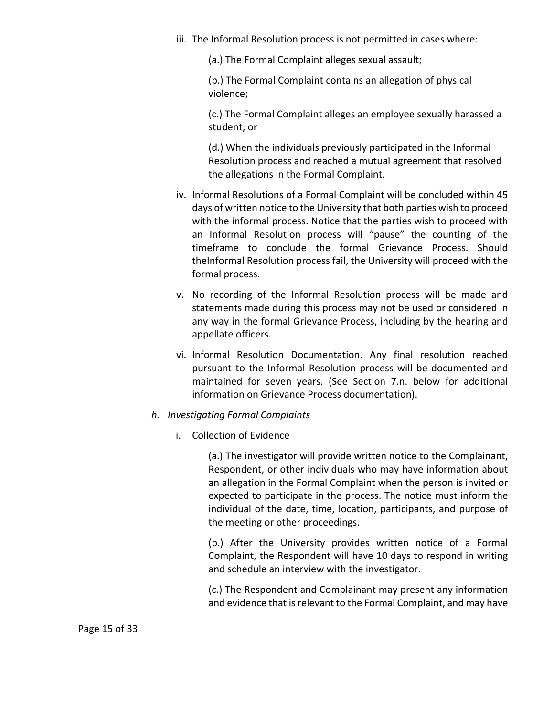iii. The Informal Resolution process is not permitted in cases where:

(a.) The Formal Complaint alleges sexual assault;

(b.) The Formal Complaint contains an allegation of physical violence;

(c.) The Formal Complaint alleges an employee sexually harassed a student; or

(d.) When the individuals previously participated in the Informal Resolution process and reached a mutual agreement that resolved the allegations in the Formal Complaint.

- iv. Informal Resolutions of a Formal Complaint will be concluded within 45 days of written notice to the University that both parties wish to proceed with the informal process. Notice that the parties wish to proceed with an Informal Resolution process will "pause" the counting of the timeframe to conclude the formal Grievance Process. Should theInformal Resolution process fail, the University will proceed with the formal process.
- v. No recording of the Informal Resolution process will be made and statements made during this process may not be used or considered in any way in the formal Grievance Process, including by the hearing and appellate officers.
- vi. Informal Resolution Documentation. Any final resolution reached pursuant to the Informal Resolution process will be documented and maintained for seven years. (See Section 7.n. below for additional information on Grievance Process documentation).
- *h. Investigating Formal Complaints*
	- i. Collection of Evidence

(a.) The investigator will provide written notice to the Complainant, Respondent, or other individuals who may have information about an allegation in the Formal Complaint when the person is invited or expected to participate in the process. The notice must inform the individual of the date, time, location, participants, and purpose of the meeting or other proceedings.

(b.) After the University provides written notice of a Formal Complaint, the Respondent will have 10 days to respond in writing and schedule an interview with the investigator.

(c.) The Respondent and Complainant may present any information and evidence that is relevant to the Formal Complaint, and may have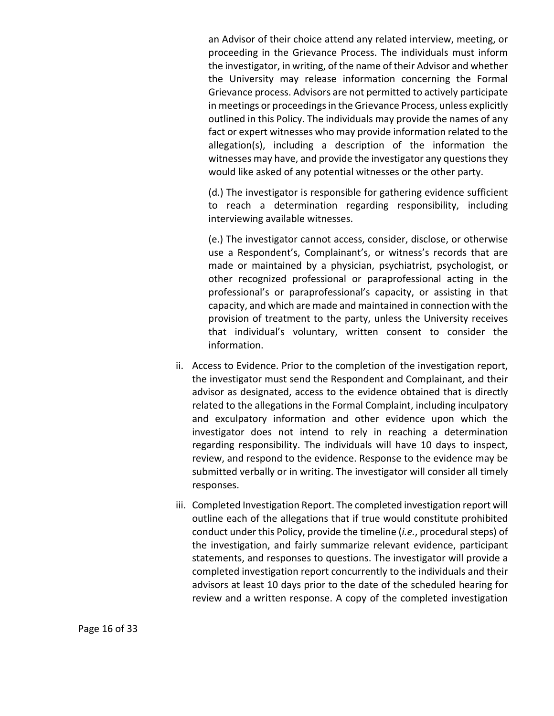an Advisor of their choice attend any related interview, meeting, or proceeding in the Grievance Process. The individuals must inform the investigator, in writing, of the name of their Advisor and whether the University may release information concerning the Formal Grievance process. Advisors are not permitted to actively participate in meetings or proceedings in the Grievance Process, unless explicitly outlined in this Policy. The individuals may provide the names of any fact or expert witnesses who may provide information related to the allegation(s), including a description of the information the witnesses may have, and provide the investigator any questions they would like asked of any potential witnesses or the other party.

(d.) The investigator is responsible for gathering evidence sufficient to reach a determination regarding responsibility, including interviewing available witnesses.

(e.) The investigator cannot access, consider, disclose, or otherwise use a Respondent's, Complainant's, or witness's records that are made or maintained by a physician, psychiatrist, psychologist, or other recognized professional or paraprofessional acting in the professional's or paraprofessional's capacity, or assisting in that capacity, and which are made and maintained in connection with the provision of treatment to the party, unless the University receives that individual's voluntary, written consent to consider the information.

- ii. Access to Evidence. Prior to the completion of the investigation report, the investigator must send the Respondent and Complainant, and their advisor as designated, access to the evidence obtained that is directly related to the allegations in the Formal Complaint, including inculpatory and exculpatory information and other evidence upon which the investigator does not intend to rely in reaching a determination regarding responsibility. The individuals will have 10 days to inspect, review, and respond to the evidence. Response to the evidence may be submitted verbally or in writing. The investigator will consider all timely responses.
- iii. Completed Investigation Report. The completed investigation report will outline each of the allegations that if true would constitute prohibited conduct under this Policy, provide the timeline (*i.e.*, procedural steps) of the investigation, and fairly summarize relevant evidence, participant statements, and responses to questions. The investigator will provide a completed investigation report concurrently to the individuals and their advisors at least 10 days prior to the date of the scheduled hearing for review and a written response. A copy of the completed investigation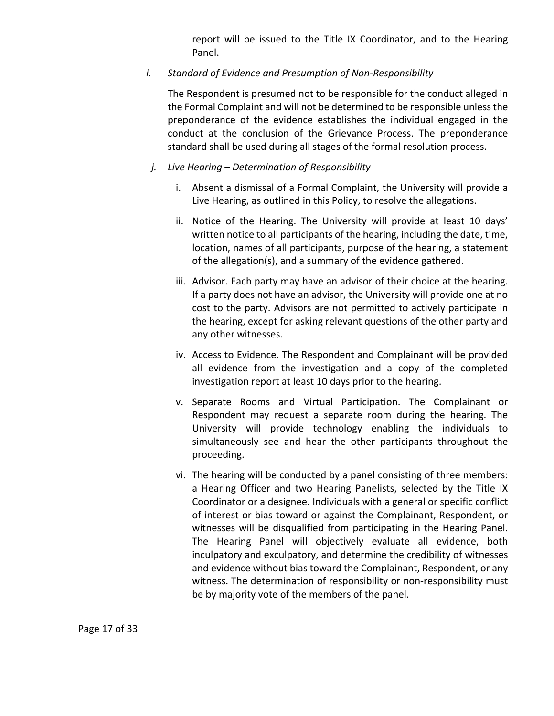report will be issued to the Title IX Coordinator, and to the Hearing Panel.

*i. Standard of Evidence and Presumption of Non-Responsibility*

The Respondent is presumed not to be responsible for the conduct alleged in the Formal Complaint and will not be determined to be responsible unless the preponderance of the evidence establishes the individual engaged in the conduct at the conclusion of the Grievance Process. The preponderance standard shall be used during all stages of the formal resolution process.

- *j. Live Hearing Determination of Responsibility*
	- i. Absent a dismissal of a Formal Complaint, the University will provide a Live Hearing, as outlined in this Policy, to resolve the allegations.
	- ii. Notice of the Hearing. The University will provide at least 10 days' written notice to all participants of the hearing, including the date, time, location, names of all participants, purpose of the hearing, a statement of the allegation(s), and a summary of the evidence gathered.
	- iii. Advisor. Each party may have an advisor of their choice at the hearing. If a party does not have an advisor, the University will provide one at no cost to the party. Advisors are not permitted to actively participate in the hearing, except for asking relevant questions of the other party and any other witnesses.
	- iv. Access to Evidence. The Respondent and Complainant will be provided all evidence from the investigation and a copy of the completed investigation report at least 10 days prior to the hearing.
	- v. Separate Rooms and Virtual Participation. The Complainant or Respondent may request a separate room during the hearing. The University will provide technology enabling the individuals to simultaneously see and hear the other participants throughout the proceeding.
	- vi. The hearing will be conducted by a panel consisting of three members: a Hearing Officer and two Hearing Panelists, selected by the Title IX Coordinator or a designee. Individuals with a general or specific conflict of interest or bias toward or against the Complainant, Respondent, or witnesses will be disqualified from participating in the Hearing Panel. The Hearing Panel will objectively evaluate all evidence, both inculpatory and exculpatory, and determine the credibility of witnesses and evidence without bias toward the Complainant, Respondent, or any witness. The determination of responsibility or non-responsibility must be by majority vote of the members of the panel.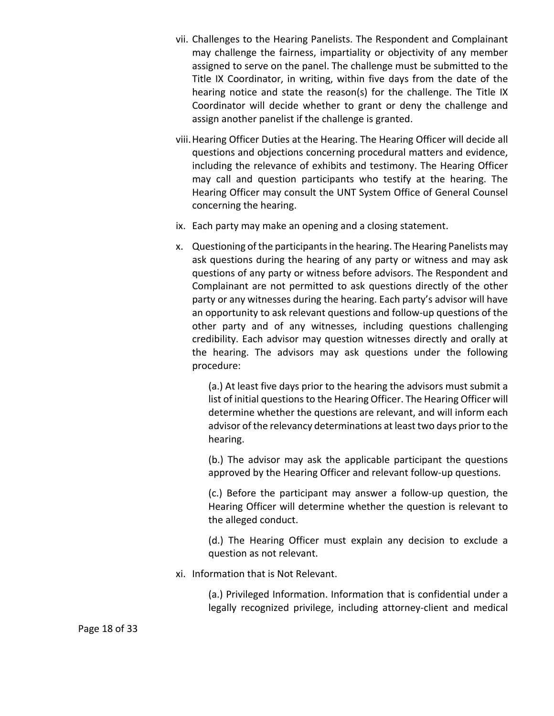- vii. Challenges to the Hearing Panelists. The Respondent and Complainant may challenge the fairness, impartiality or objectivity of any member assigned to serve on the panel. The challenge must be submitted to the Title IX Coordinator, in writing, within five days from the date of the hearing notice and state the reason(s) for the challenge. The Title IX Coordinator will decide whether to grant or deny the challenge and assign another panelist if the challenge is granted.
- viii.Hearing Officer Duties at the Hearing. The Hearing Officer will decide all questions and objections concerning procedural matters and evidence, including the relevance of exhibits and testimony. The Hearing Officer may call and question participants who testify at the hearing. The Hearing Officer may consult the UNT System Office of General Counsel concerning the hearing.
- ix. Each party may make an opening and a closing statement.
- x. Questioning of the participants in the hearing. The Hearing Panelists may ask questions during the hearing of any party or witness and may ask questions of any party or witness before advisors. The Respondent and Complainant are not permitted to ask questions directly of the other party or any witnesses during the hearing. Each party's advisor will have an opportunity to ask relevant questions and follow-up questions of the other party and of any witnesses, including questions challenging credibility. Each advisor may question witnesses directly and orally at the hearing. The advisors may ask questions under the following procedure:

(a.) At least five days prior to the hearing the advisors must submit a list of initial questions to the Hearing Officer. The Hearing Officer will determine whether the questions are relevant, and will inform each advisor of the relevancy determinations at least two days prior to the hearing.

(b.) The advisor may ask the applicable participant the questions approved by the Hearing Officer and relevant follow-up questions.

(c.) Before the participant may answer a follow-up question, the Hearing Officer will determine whether the question is relevant to the alleged conduct.

(d.) The Hearing Officer must explain any decision to exclude a question as not relevant.

xi. Information that is Not Relevant.

(a.) Privileged Information. Information that is confidential under a legally recognized privilege, including attorney-client and medical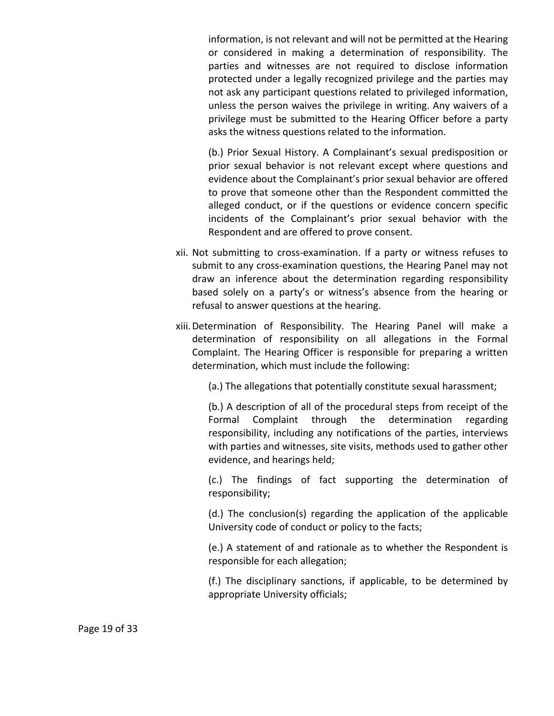information, is not relevant and will not be permitted at the Hearing or considered in making a determination of responsibility. The parties and witnesses are not required to disclose information protected under a legally recognized privilege and the parties may not ask any participant questions related to privileged information, unless the person waives the privilege in writing. Any waivers of a privilege must be submitted to the Hearing Officer before a party asks the witness questions related to the information.

(b.) Prior Sexual History. A Complainant's sexual predisposition or prior sexual behavior is not relevant except where questions and evidence about the Complainant's prior sexual behavior are offered to prove that someone other than the Respondent committed the alleged conduct, or if the questions or evidence concern specific incidents of the Complainant's prior sexual behavior with the Respondent and are offered to prove consent.

- xii. Not submitting to cross-examination. If a party or witness refuses to submit to any cross-examination questions, the Hearing Panel may not draw an inference about the determination regarding responsibility based solely on a party's or witness's absence from the hearing or refusal to answer questions at the hearing.
- xiii.Determination of Responsibility. The Hearing Panel will make a determination of responsibility on all allegations in the Formal Complaint. The Hearing Officer is responsible for preparing a written determination, which must include the following:

(a.) The allegations that potentially constitute sexual harassment;

(b.) A description of all of the procedural steps from receipt of the Formal Complaint through the determination regarding responsibility, including any notifications of the parties, interviews with parties and witnesses, site visits, methods used to gather other evidence, and hearings held;

(c.) The findings of fact supporting the determination of responsibility;

(d.) The conclusion(s) regarding the application of the applicable University code of conduct or policy to the facts;

(e.) A statement of and rationale as to whether the Respondent is responsible for each allegation;

(f.) The disciplinary sanctions, if applicable, to be determined by appropriate University officials;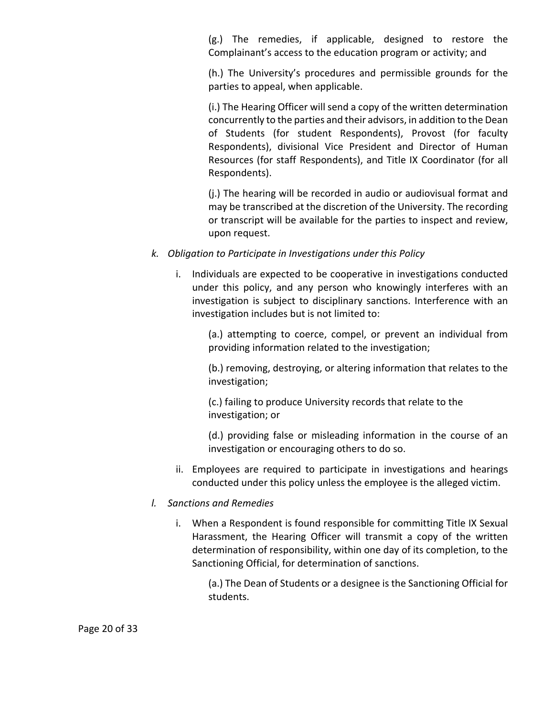(g.) The remedies, if applicable, designed to restore the Complainant's access to the education program or activity; and

(h.) The University's procedures and permissible grounds for the parties to appeal, when applicable.

(i.) The Hearing Officer will send a copy of the written determination concurrently to the parties and their advisors, in addition to the Dean of Students (for student Respondents), Provost (for faculty Respondents), divisional Vice President and Director of Human Resources (for staff Respondents), and Title IX Coordinator (for all Respondents).

(j.) The hearing will be recorded in audio or audiovisual format and may be transcribed at the discretion of the University. The recording or transcript will be available for the parties to inspect and review, upon request.

- *k. Obligation to Participate in Investigations under this Policy*
	- i. Individuals are expected to be cooperative in investigations conducted under this policy, and any person who knowingly interferes with an investigation is subject to disciplinary sanctions. Interference with an investigation includes but is not limited to:

(a.) attempting to coerce, compel, or prevent an individual from providing information related to the investigation;

(b.) removing, destroying, or altering information that relates to the investigation;

(c.) failing to produce University records that relate to the investigation; or

(d.) providing false or misleading information in the course of an investigation or encouraging others to do so.

- ii. Employees are required to participate in investigations and hearings conducted under this policy unless the employee is the alleged victim.
- *l. Sanctions and Remedies*
	- i. When a Respondent is found responsible for committing Title IX Sexual Harassment, the Hearing Officer will transmit a copy of the written determination of responsibility, within one day of its completion, to the Sanctioning Official, for determination of sanctions.

(a.) The Dean of Students or a designee is the Sanctioning Official for students.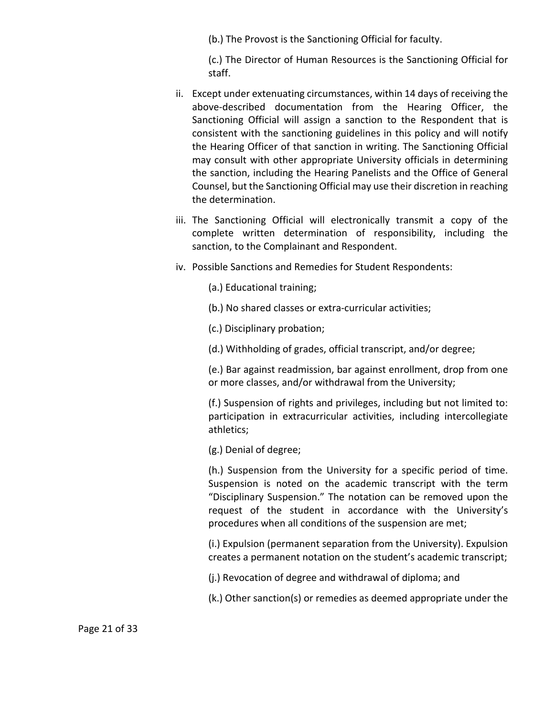(b.) The Provost is the Sanctioning Official for faculty.

(c.) The Director of Human Resources is the Sanctioning Official for staff.

- ii. Except under extenuating circumstances, within 14 days of receiving the above-described documentation from the Hearing Officer, the Sanctioning Official will assign a sanction to the Respondent that is consistent with the sanctioning guidelines in this policy and will notify the Hearing Officer of that sanction in writing. The Sanctioning Official may consult with other appropriate University officials in determining the sanction, including the Hearing Panelists and the Office of General Counsel, but the Sanctioning Official may use their discretion in reaching the determination.
- iii. The Sanctioning Official will electronically transmit a copy of the complete written determination of responsibility, including the sanction, to the Complainant and Respondent.
- iv. Possible Sanctions and Remedies for Student Respondents:
	- (a.) Educational training;
	- (b.) No shared classes or extra-curricular activities;
	- (c.) Disciplinary probation;
	- (d.) Withholding of grades, official transcript, and/or degree;

(e.) Bar against readmission, bar against enrollment, drop from one or more classes, and/or withdrawal from the University;

(f.) Suspension of rights and privileges, including but not limited to: participation in extracurricular activities, including intercollegiate athletics;

(g.) Denial of degree;

(h.) Suspension from the University for a specific period of time. Suspension is noted on the academic transcript with the term "Disciplinary Suspension." The notation can be removed upon the request of the student in accordance with the University's procedures when all conditions of the suspension are met;

(i.) Expulsion (permanent separation from the University). Expulsion creates a permanent notation on the student's academic transcript;

(j.) Revocation of degree and withdrawal of diploma; and

(k.) Other sanction(s) or remedies as deemed appropriate under the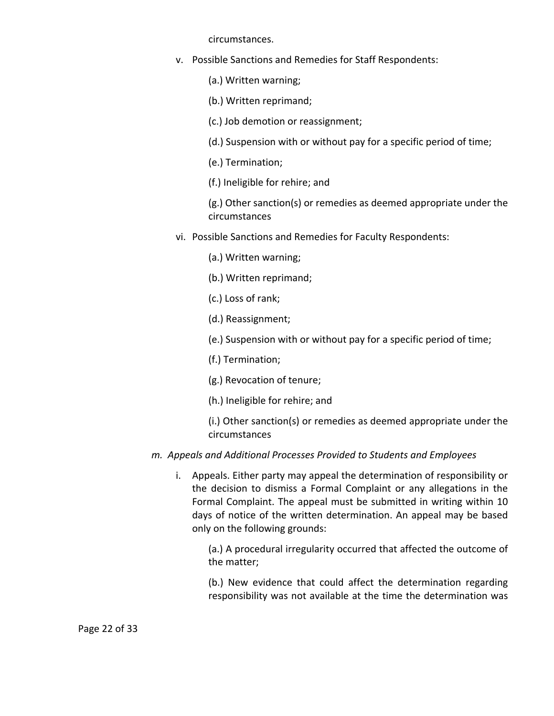circumstances.

- v. Possible Sanctions and Remedies for Staff Respondents:
	- (a.) Written warning;
	- (b.) Written reprimand;
	- (c.) Job demotion or reassignment;
	- (d.) Suspension with or without pay for a specific period of time;
	- (e.) Termination;
	- (f.) Ineligible for rehire; and

(g.) Other sanction(s) or remedies as deemed appropriate under the circumstances

- vi. Possible Sanctions and Remedies for Faculty Respondents:
	- (a.) Written warning;
	- (b.) Written reprimand;
	- (c.) Loss of rank;
	- (d.) Reassignment;
	- (e.) Suspension with or without pay for a specific period of time;
	- (f.) Termination;
	- (g.) Revocation of tenure;
	- (h.) Ineligible for rehire; and
	- (i.) Other sanction(s) or remedies as deemed appropriate under the circumstances
- *m. Appeals and Additional Processes Provided to Students and Employees*
	- i. Appeals. Either party may appeal the determination of responsibility or the decision to dismiss a Formal Complaint or any allegations in the Formal Complaint. The appeal must be submitted in writing within 10 days of notice of the written determination. An appeal may be based only on the following grounds:

(a.) A procedural irregularity occurred that affected the outcome of the matter;

(b.) New evidence that could affect the determination regarding responsibility was not available at the time the determination was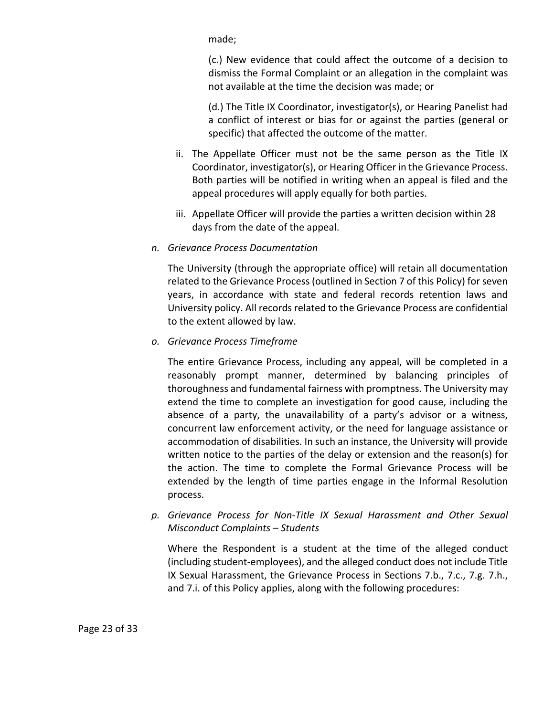made;

(c.) New evidence that could affect the outcome of a decision to dismiss the Formal Complaint or an allegation in the complaint was not available at the time the decision was made; or

(d.) The Title IX Coordinator, investigator(s), or Hearing Panelist had a conflict of interest or bias for or against the parties (general or specific) that affected the outcome of the matter.

- ii. The Appellate Officer must not be the same person as the Title IX Coordinator, investigator(s), or Hearing Officer in the Grievance Process. Both parties will be notified in writing when an appeal is filed and the appeal procedures will apply equally for both parties.
- iii. Appellate Officer will provide the parties a written decision within 28 days from the date of the appeal.
- *n. Grievance Process Documentation*

The University (through the appropriate office) will retain all documentation related to the Grievance Process (outlined in Section 7 of this Policy) for seven years, in accordance with state and federal records retention laws and University policy. All records related to the Grievance Process are confidential to the extent allowed by law.

*o. Grievance Process Timeframe*

The entire Grievance Process, including any appeal, will be completed in a reasonably prompt manner, determined by balancing principles of thoroughness and fundamental fairness with promptness. The University may extend the time to complete an investigation for good cause, including the absence of a party, the unavailability of a party's advisor or a witness, concurrent law enforcement activity, or the need for language assistance or accommodation of disabilities. In such an instance, the University will provide written notice to the parties of the delay or extension and the reason(s) for the action. The time to complete the Formal Grievance Process will be extended by the length of time parties engage in the Informal Resolution process.

*p. Grievance Process for Non-Title IX Sexual Harassment and Other Sexual Misconduct Complaints – Students*

Where the Respondent is a student at the time of the alleged conduct (including student-employees), and the alleged conduct does not include Title IX Sexual Harassment, the Grievance Process in Sections 7.b., 7.c., 7.g. 7.h., and 7.i. of this Policy applies, along with the following procedures: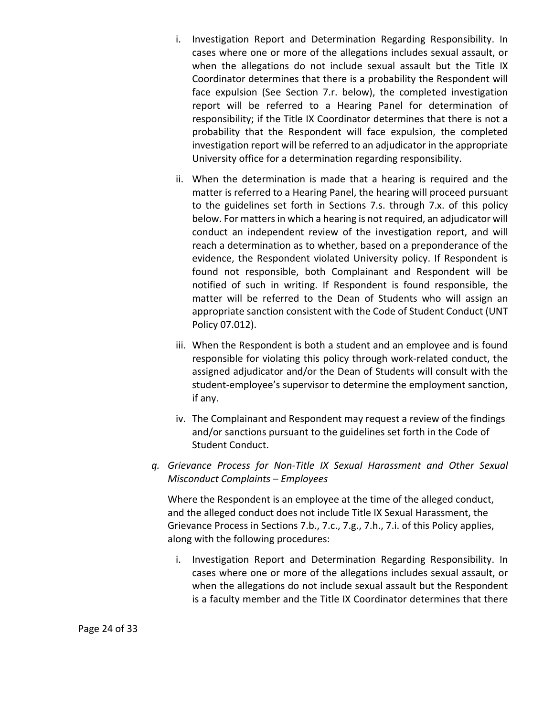- i. Investigation Report and Determination Regarding Responsibility. In cases where one or more of the allegations includes sexual assault, or when the allegations do not include sexual assault but the Title IX Coordinator determines that there is a probability the Respondent will face expulsion (See Section 7.r. below), the completed investigation report will be referred to a Hearing Panel for determination of responsibility; if the Title IX Coordinator determines that there is not a probability that the Respondent will face expulsion, the completed investigation report will be referred to an adjudicator in the appropriate University office for a determination regarding responsibility.
- ii. When the determination is made that a hearing is required and the matter is referred to a Hearing Panel, the hearing will proceed pursuant to the guidelines set forth in Sections 7.s. through 7.x. of this policy below. For matters in which a hearing is not required, an adjudicator will conduct an independent review of the investigation report, and will reach a determination as to whether, based on a preponderance of the evidence, the Respondent violated University policy. If Respondent is found not responsible, both Complainant and Respondent will be notified of such in writing. If Respondent is found responsible, the matter will be referred to the Dean of Students who will assign an appropriate sanction consistent with the Code of Student Conduct (UNT Policy 07.012).
- iii. When the Respondent is both a student and an employee and is found responsible for violating this policy through work-related conduct, the assigned adjudicator and/or the Dean of Students will consult with the student-employee's supervisor to determine the employment sanction, if any.
- iv. The Complainant and Respondent may request a review of the findings and/or sanctions pursuant to the guidelines set forth in the Code of Student Conduct.
- *q. Grievance Process for Non-Title IX Sexual Harassment and Other Sexual Misconduct Complaints – Employees*

Where the Respondent is an employee at the time of the alleged conduct, and the alleged conduct does not include Title IX Sexual Harassment, the Grievance Process in Sections 7.b., 7.c., 7.g., 7.h., 7.i. of this Policy applies, along with the following procedures:

i. Investigation Report and Determination Regarding Responsibility. In cases where one or more of the allegations includes sexual assault, or when the allegations do not include sexual assault but the Respondent is a faculty member and the Title IX Coordinator determines that there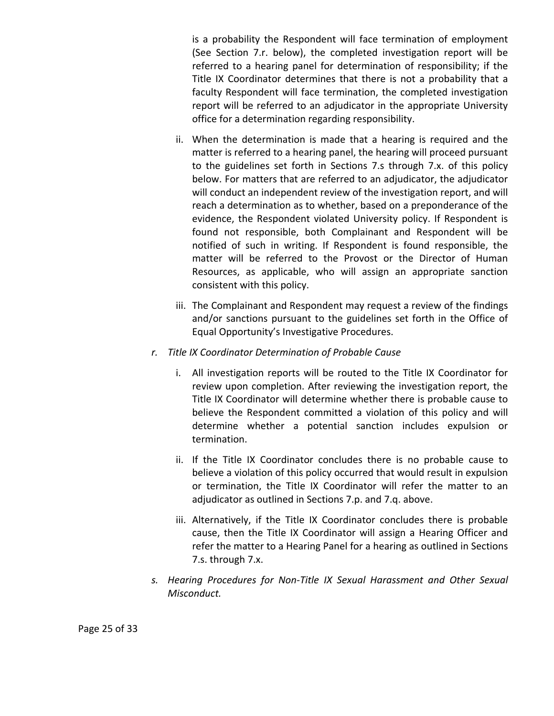is a probability the Respondent will face termination of employment (See Section 7.r. below), the completed investigation report will be referred to a hearing panel for determination of responsibility; if the Title IX Coordinator determines that there is not a probability that a faculty Respondent will face termination, the completed investigation report will be referred to an adjudicator in the appropriate University office for a determination regarding responsibility.

- ii. When the determination is made that a hearing is required and the matter is referred to a hearing panel, the hearing will proceed pursuant to the guidelines set forth in Sections 7.s through 7.x. of this policy below. For matters that are referred to an adjudicator, the adjudicator will conduct an independent review of the investigation report, and will reach a determination as to whether, based on a preponderance of the evidence, the Respondent violated University policy. If Respondent is found not responsible, both Complainant and Respondent will be notified of such in writing. If Respondent is found responsible, the matter will be referred to the Provost or the Director of Human Resources, as applicable, who will assign an appropriate sanction consistent with this policy.
- iii. The Complainant and Respondent may request a review of the findings and/or sanctions pursuant to the guidelines set forth in the Office of Equal Opportunity's Investigative Procedures.
- *r. Title IX Coordinator Determination of Probable Cause*
	- i. All investigation reports will be routed to the Title IX Coordinator for review upon completion. After reviewing the investigation report, the Title IX Coordinator will determine whether there is probable cause to believe the Respondent committed a violation of this policy and will determine whether a potential sanction includes expulsion or termination.
	- ii. If the Title IX Coordinator concludes there is no probable cause to believe a violation of this policy occurred that would result in expulsion or termination, the Title IX Coordinator will refer the matter to an adjudicator as outlined in Sections 7.p. and 7.q. above.
	- iii. Alternatively, if the Title IX Coordinator concludes there is probable cause, then the Title IX Coordinator will assign a Hearing Officer and refer the matter to a Hearing Panel for a hearing as outlined in Sections 7.s. through 7.x.
- *s. Hearing Procedures for Non-Title IX Sexual Harassment and Other Sexual Misconduct.*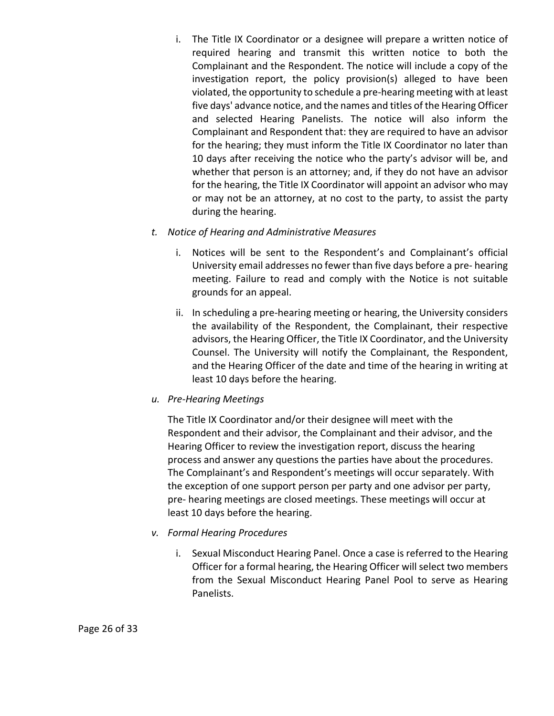- i. The Title IX Coordinator or a designee will prepare a written notice of required hearing and transmit this written notice to both the Complainant and the Respondent. The notice will include a copy of the investigation report, the policy provision(s) alleged to have been violated, the opportunity to schedule a pre-hearing meeting with at least five days' advance notice, and the names and titles of the Hearing Officer and selected Hearing Panelists. The notice will also inform the Complainant and Respondent that: they are required to have an advisor for the hearing; they must inform the Title IX Coordinator no later than 10 days after receiving the notice who the party's advisor will be, and whether that person is an attorney; and, if they do not have an advisor for the hearing, the Title IX Coordinator will appoint an advisor who may or may not be an attorney, at no cost to the party, to assist the party during the hearing.
- *t. Notice of Hearing and Administrative Measures*
	- i. Notices will be sent to the Respondent's and Complainant's official University email addresses no fewer than five days before a pre- hearing meeting. Failure to read and comply with the Notice is not suitable grounds for an appeal.
	- ii. In scheduling a pre-hearing meeting or hearing, the University considers the availability of the Respondent, the Complainant, their respective advisors, the Hearing Officer, the Title IX Coordinator, and the University Counsel. The University will notify the Complainant, the Respondent, and the Hearing Officer of the date and time of the hearing in writing at least 10 days before the hearing.
- *u. Pre-Hearing Meetings*

The Title IX Coordinator and/or their designee will meet with the Respondent and their advisor, the Complainant and their advisor, and the Hearing Officer to review the investigation report, discuss the hearing process and answer any questions the parties have about the procedures. The Complainant's and Respondent's meetings will occur separately. With the exception of one support person per party and one advisor per party, pre- hearing meetings are closed meetings. These meetings will occur at least 10 days before the hearing.

- *v. Formal Hearing Procedures*
	- i. Sexual Misconduct Hearing Panel. Once a case is referred to the Hearing Officer for a formal hearing, the Hearing Officer will select two members from the Sexual Misconduct Hearing Panel Pool to serve as Hearing Panelists.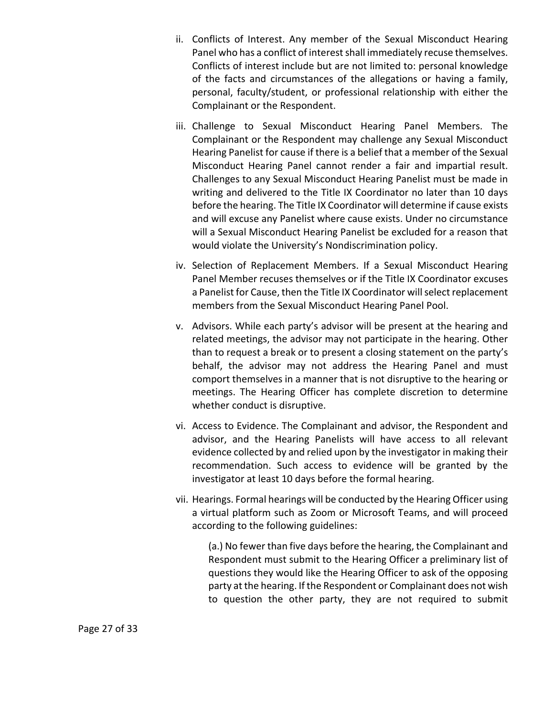- ii. Conflicts of Interest. Any member of the Sexual Misconduct Hearing Panel who has a conflict of interest shall immediately recuse themselves. Conflicts of interest include but are not limited to: personal knowledge of the facts and circumstances of the allegations or having a family, personal, faculty/student, or professional relationship with either the Complainant or the Respondent.
- iii. Challenge to Sexual Misconduct Hearing Panel Members. The Complainant or the Respondent may challenge any Sexual Misconduct Hearing Panelist for cause if there is a belief that a member of the Sexual Misconduct Hearing Panel cannot render a fair and impartial result. Challenges to any Sexual Misconduct Hearing Panelist must be made in writing and delivered to the Title IX Coordinator no later than 10 days before the hearing. The Title IX Coordinator will determine if cause exists and will excuse any Panelist where cause exists. Under no circumstance will a Sexual Misconduct Hearing Panelist be excluded for a reason that would violate the University's Nondiscrimination policy.
- iv. Selection of Replacement Members. If a Sexual Misconduct Hearing Panel Member recuses themselves or if the Title IX Coordinator excuses a Panelist for Cause, then the Title IX Coordinator will select replacement members from the Sexual Misconduct Hearing Panel Pool.
- v. Advisors. While each party's advisor will be present at the hearing and related meetings, the advisor may not participate in the hearing. Other than to request a break or to present a closing statement on the party's behalf, the advisor may not address the Hearing Panel and must comport themselves in a manner that is not disruptive to the hearing or meetings. The Hearing Officer has complete discretion to determine whether conduct is disruptive.
- vi. Access to Evidence. The Complainant and advisor, the Respondent and advisor, and the Hearing Panelists will have access to all relevant evidence collected by and relied upon by the investigator in making their recommendation. Such access to evidence will be granted by the investigator at least 10 days before the formal hearing.
- vii. Hearings. Formal hearings will be conducted by the Hearing Officer using a virtual platform such as Zoom or Microsoft Teams, and will proceed according to the following guidelines:

(a.) No fewer than five days before the hearing, the Complainant and Respondent must submit to the Hearing Officer a preliminary list of questions they would like the Hearing Officer to ask of the opposing party at the hearing. If the Respondent or Complainant does not wish to question the other party, they are not required to submit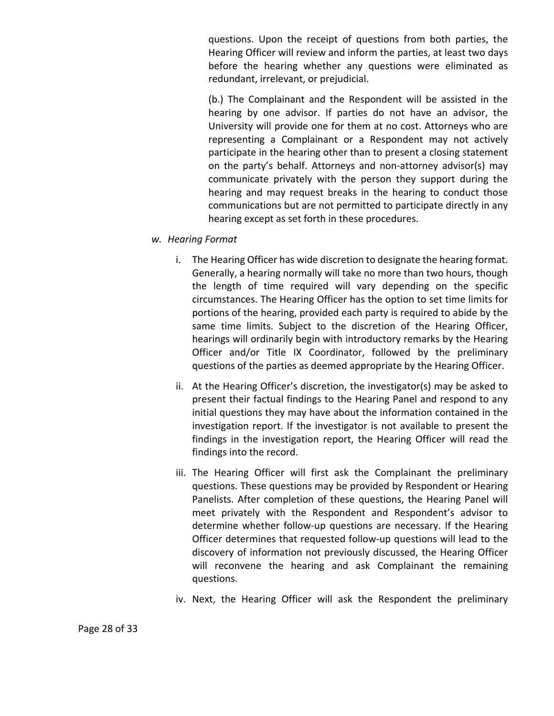questions. Upon the receipt of questions from both parties, the Hearing Officer will review and inform the parties, at least two days before the hearing whether any questions were eliminated as redundant, irrelevant, or prejudicial.

(b.) The Complainant and the Respondent will be assisted in the hearing by one advisor. If parties do not have an advisor, the University will provide one for them at no cost. Attorneys who are representing a Complainant or a Respondent may not actively participate in the hearing other than to present a closing statement on the party's behalf. Attorneys and non-attorney advisor(s) may communicate privately with the person they support during the hearing and may request breaks in the hearing to conduct those communications but are not permitted to participate directly in any hearing except as set forth in these procedures.

#### *w. Hearing Format*

- i. The Hearing Officer has wide discretion to designate the hearing format. Generally, a hearing normally will take no more than two hours, though the length of time required will vary depending on the specific circumstances. The Hearing Officer has the option to set time limits for portions of the hearing, provided each party is required to abide by the same time limits. Subject to the discretion of the Hearing Officer, hearings will ordinarily begin with introductory remarks by the Hearing Officer and/or Title IX Coordinator, followed by the preliminary questions of the parties as deemed appropriate by the Hearing Officer.
- ii. At the Hearing Officer's discretion, the investigator(s) may be asked to present their factual findings to the Hearing Panel and respond to any initial questions they may have about the information contained in the investigation report. If the investigator is not available to present the findings in the investigation report, the Hearing Officer will read the findings into the record.
- iii. The Hearing Officer will first ask the Complainant the preliminary questions. These questions may be provided by Respondent or Hearing Panelists. After completion of these questions, the Hearing Panel will meet privately with the Respondent and Respondent's advisor to determine whether follow-up questions are necessary. If the Hearing Officer determines that requested follow-up questions will lead to the discovery of information not previously discussed, the Hearing Officer will reconvene the hearing and ask Complainant the remaining questions.
- iv. Next, the Hearing Officer will ask the Respondent the preliminary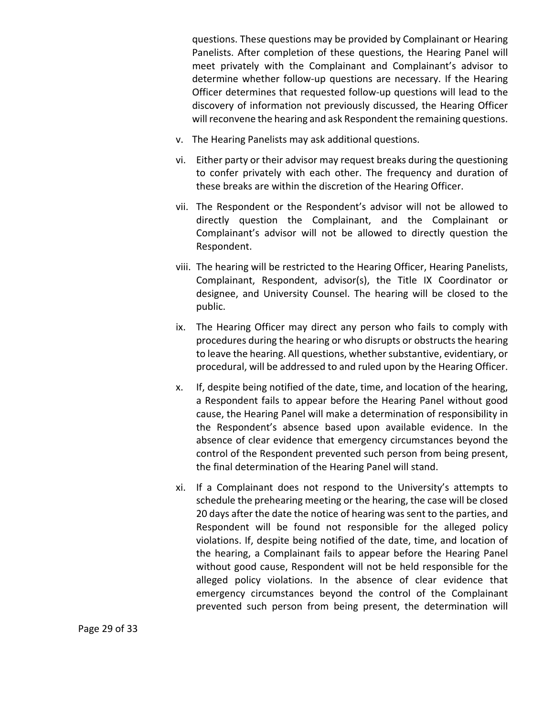questions. These questions may be provided by Complainant or Hearing Panelists. After completion of these questions, the Hearing Panel will meet privately with the Complainant and Complainant's advisor to determine whether follow-up questions are necessary. If the Hearing Officer determines that requested follow-up questions will lead to the discovery of information not previously discussed, the Hearing Officer will reconvene the hearing and ask Respondent the remaining questions.

- v. The Hearing Panelists may ask additional questions.
- vi. Either party or their advisor may request breaks during the questioning to confer privately with each other. The frequency and duration of these breaks are within the discretion of the Hearing Officer.
- vii. The Respondent or the Respondent's advisor will not be allowed to directly question the Complainant, and the Complainant or Complainant's advisor will not be allowed to directly question the Respondent.
- viii. The hearing will be restricted to the Hearing Officer, Hearing Panelists, Complainant, Respondent, advisor(s), the Title IX Coordinator or designee, and University Counsel. The hearing will be closed to the public.
- ix. The Hearing Officer may direct any person who fails to comply with procedures during the hearing or who disrupts or obstructs the hearing to leave the hearing. All questions, whether substantive, evidentiary, or procedural, will be addressed to and ruled upon by the Hearing Officer.
- x. If, despite being notified of the date, time, and location of the hearing, a Respondent fails to appear before the Hearing Panel without good cause, the Hearing Panel will make a determination of responsibility in the Respondent's absence based upon available evidence. In the absence of clear evidence that emergency circumstances beyond the control of the Respondent prevented such person from being present, the final determination of the Hearing Panel will stand.
- xi. If a Complainant does not respond to the University's attempts to schedule the prehearing meeting or the hearing, the case will be closed 20 days after the date the notice of hearing was sent to the parties, and Respondent will be found not responsible for the alleged policy violations. If, despite being notified of the date, time, and location of the hearing, a Complainant fails to appear before the Hearing Panel without good cause, Respondent will not be held responsible for the alleged policy violations. In the absence of clear evidence that emergency circumstances beyond the control of the Complainant prevented such person from being present, the determination will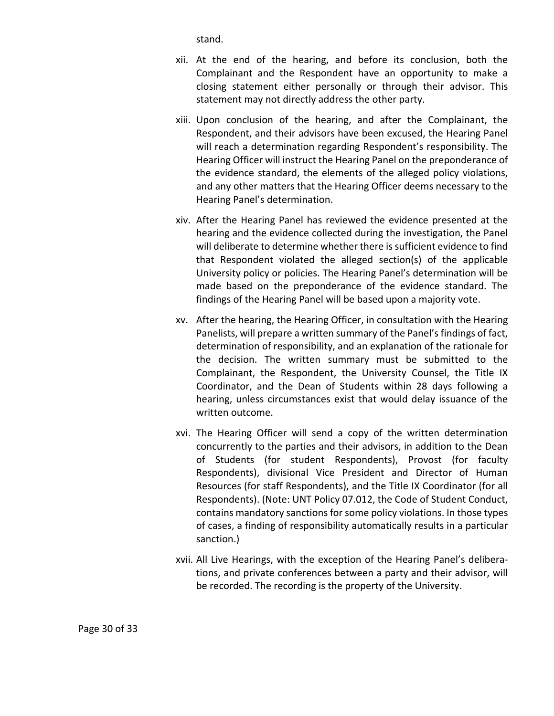stand.

- xii. At the end of the hearing, and before its conclusion, both the Complainant and the Respondent have an opportunity to make a closing statement either personally or through their advisor. This statement may not directly address the other party.
- xiii. Upon conclusion of the hearing, and after the Complainant, the Respondent, and their advisors have been excused, the Hearing Panel will reach a determination regarding Respondent's responsibility. The Hearing Officer will instruct the Hearing Panel on the preponderance of the evidence standard, the elements of the alleged policy violations, and any other matters that the Hearing Officer deems necessary to the Hearing Panel's determination.
- xiv. After the Hearing Panel has reviewed the evidence presented at the hearing and the evidence collected during the investigation, the Panel will deliberate to determine whether there is sufficient evidence to find that Respondent violated the alleged section(s) of the applicable University policy or policies. The Hearing Panel's determination will be made based on the preponderance of the evidence standard. The findings of the Hearing Panel will be based upon a majority vote.
- xv. After the hearing, the Hearing Officer, in consultation with the Hearing Panelists, will prepare a written summary of the Panel's findings of fact, determination of responsibility, and an explanation of the rationale for the decision. The written summary must be submitted to the Complainant, the Respondent, the University Counsel, the Title IX Coordinator, and the Dean of Students within 28 days following a hearing, unless circumstances exist that would delay issuance of the written outcome.
- xvi. The Hearing Officer will send a copy of the written determination concurrently to the parties and their advisors, in addition to the Dean of Students (for student Respondents), Provost (for faculty Respondents), divisional Vice President and Director of Human Resources (for staff Respondents), and the Title IX Coordinator (for all Respondents). (Note: UNT Policy 07.012, the Code of Student Conduct, contains mandatory sanctions for some policy violations. In those types of cases, a finding of responsibility automatically results in a particular sanction.)
- xvii. All Live Hearings, with the exception of the Hearing Panel's deliberations, and private conferences between a party and their advisor, will be recorded. The recording is the property of the University.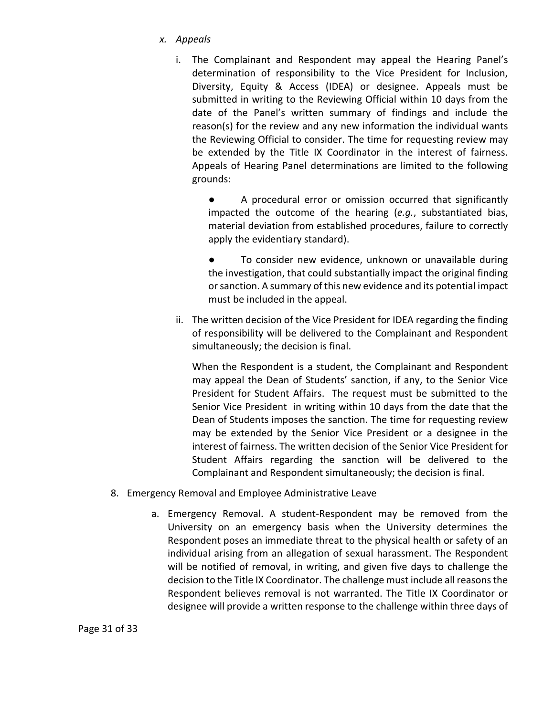### *x. Appeals*

i. The Complainant and Respondent may appeal the Hearing Panel's determination of responsibility to the Vice President for Inclusion, Diversity, Equity & Access (IDEA) or designee. Appeals must be submitted in writing to the Reviewing Official within 10 days from the date of the Panel's written summary of findings and include the reason(s) for the review and any new information the individual wants the Reviewing Official to consider. The time for requesting review may be extended by the Title IX Coordinator in the interest of fairness. Appeals of Hearing Panel determinations are limited to the following grounds:

● A procedural error or omission occurred that significantly impacted the outcome of the hearing (*e.g.*, substantiated bias, material deviation from established procedures, failure to correctly apply the evidentiary standard).

To consider new evidence, unknown or unavailable during the investigation, that could substantially impact the original finding or sanction. A summary of this new evidence and its potential impact must be included in the appeal.

ii. The written decision of the Vice President for IDEA regarding the finding of responsibility will be delivered to the Complainant and Respondent simultaneously; the decision is final.

When the Respondent is a student, the Complainant and Respondent may appeal the Dean of Students' sanction, if any, to the Senior Vice President for Student Affairs. The request must be submitted to the Senior Vice President in writing within 10 days from the date that the Dean of Students imposes the sanction. The time for requesting review may be extended by the Senior Vice President or a designee in the interest of fairness. The written decision of the Senior Vice President for Student Affairs regarding the sanction will be delivered to the Complainant and Respondent simultaneously; the decision is final.

- 8. Emergency Removal and Employee Administrative Leave
	- a. Emergency Removal. A student-Respondent may be removed from the University on an emergency basis when the University determines the Respondent poses an immediate threat to the physical health or safety of an individual arising from an allegation of sexual harassment. The Respondent will be notified of removal, in writing, and given five days to challenge the decision to the Title IX Coordinator. The challenge must include all reasons the Respondent believes removal is not warranted. The Title IX Coordinator or designee will provide a written response to the challenge within three days of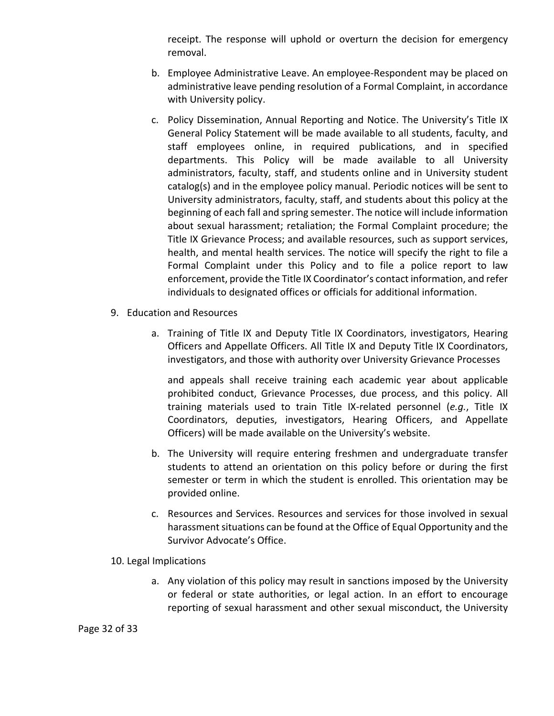receipt. The response will uphold or overturn the decision for emergency removal.

- b. Employee Administrative Leave. An employee-Respondent may be placed on administrative leave pending resolution of a Formal Complaint, in accordance with University policy.
- c. Policy Dissemination, Annual Reporting and Notice. The University's Title IX General Policy Statement will be made available to all students, faculty, and staff employees online, in required publications, and in specified departments. This Policy will be made available to all University administrators, faculty, staff, and students online and in University student catalog(s) and in the employee policy manual. Periodic notices will be sent to University administrators, faculty, staff, and students about this policy at the beginning of each fall and spring semester. The notice will include information about sexual harassment; retaliation; the Formal Complaint procedure; the Title IX Grievance Process; and available resources, such as support services, health, and mental health services. The notice will specify the right to file a Formal Complaint under this Policy and to file a police report to law enforcement, provide the Title IX Coordinator's contact information, and refer individuals to designated offices or officials for additional information.
- 9. Education and Resources
	- a. Training of Title IX and Deputy Title IX Coordinators, investigators, Hearing Officers and Appellate Officers. All Title IX and Deputy Title IX Coordinators, investigators, and those with authority over University Grievance Processes

and appeals shall receive training each academic year about applicable prohibited conduct, Grievance Processes, due process, and this policy. All training materials used to train Title IX-related personnel (*e.g.*, Title IX Coordinators, deputies, investigators, Hearing Officers, and Appellate Officers) will be made available on the University's website.

- b. The University will require entering freshmen and undergraduate transfer students to attend an orientation on this policy before or during the first semester or term in which the student is enrolled. This orientation may be provided online.
- c. Resources and Services. Resources and services for those involved in sexual harassment situations can be found at the Office of Equal Opportunity and the Survivor Advocate's Office.
- 10. Legal Implications
	- a. Any violation of this policy may result in sanctions imposed by the University or federal or state authorities, or legal action. In an effort to encourage reporting of sexual harassment and other sexual misconduct, the University